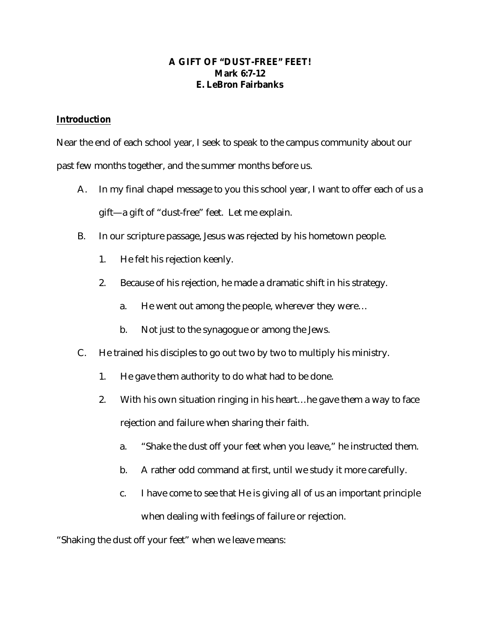### **A GIFT OF "DUST-FREE" FEET! Mark 6:7-12 E. LeBron Fairbanks**

## **Introduction**

Near the end of each school year, I seek to speak to the campus community about our past few months together, and the summer months before us.

- A. In my final chapel message to you this school year, I want to offer each of us a gift—a gift of "dust-free" feet. Let me explain.
- B. In our scripture passage, Jesus was rejected by his hometown people.
	- 1. He felt his rejection keenly.
	- 2. Because of his rejection, he made a dramatic shift in his strategy.
		- a. He went out among the people, wherever they were…
		- b. Not just to the synagogue or among the Jews.
- C. He trained his disciples to go out two by two to multiply his ministry.
	- 1. He gave them authority to do what had to be done.
	- 2. With his own situation ringing in his heart…he gave them a way to face rejection and failure when sharing their faith.
		- a. "Shake the dust off your feet when you leave," he instructed them.
		- b. A rather odd command at first, until we study it more carefully.
		- c. I have come to see that He is giving all of us an important principle when dealing with feelings of failure or rejection.

"Shaking the dust off your feet" when we leave means: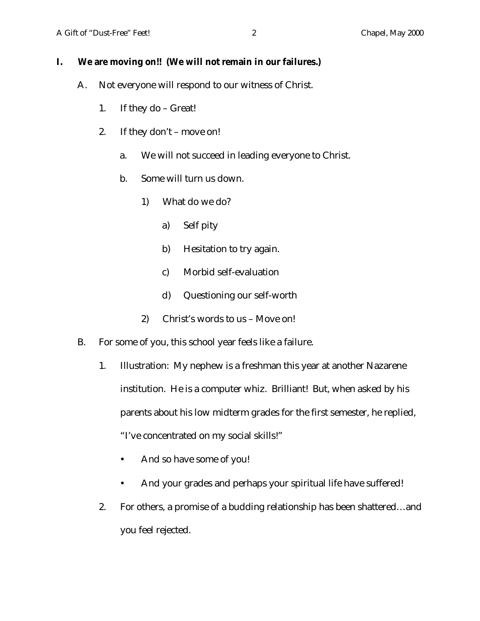# **I. We are moving on!! (We will not remain in our failures.)**

- A. Not everyone will respond to our witness of Christ.
	- 1. If they do Great!
	- 2. If they don't move on!
		- a. We will not succeed in leading everyone to Christ.
		- b. Some will turn us down.
			- 1) What do we do?
				- a) Self pity
				- b) Hesitation to try again.
				- c) Morbid self-evaluation
				- d) Questioning our self-worth
			- 2) Christ's words to us Move on!
- B. For some of you, this school year feels like a failure.
	- 1. Illustration: My nephew is a freshman this year at another Nazarene institution. He is a computer whiz. Brilliant! But, when asked by his parents about his low midterm grades for the first semester, he replied, "I've concentrated on my social skills!"
		- And so have some of you!
		- And your grades and perhaps your spiritual life have suffered!
	- 2. For others, a promise of a budding relationship has been shattered…and you feel rejected.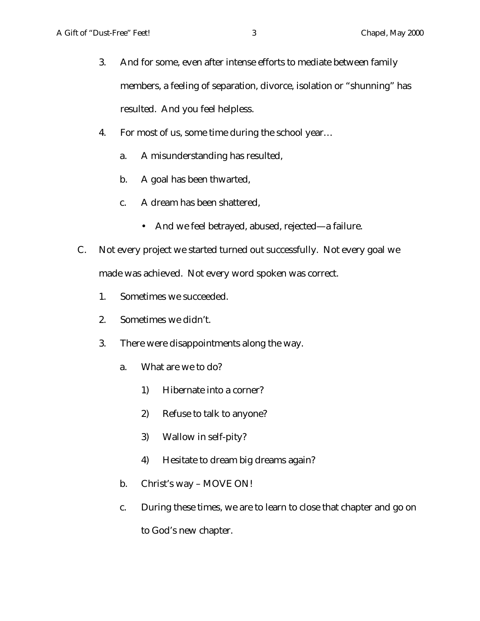- 3. And for some, even after intense efforts to mediate between family members, a feeling of separation, divorce, isolation or "shunning" has resulted. And you feel helpless.
- 4. For most of us, some time during the school year…
	- a. A misunderstanding has resulted,
	- b. A goal has been thwarted,
	- c. A dream has been shattered,
		- And we feel betrayed, abused, rejected—a failure.
- C. Not every project we started turned out successfully. Not every goal we made was achieved. Not every word spoken was correct.
	- 1. Sometimes we succeeded.
	- 2. Sometimes we didn't.
	- 3. There were disappointments along the way.
		- a. What are we to do?
			- 1) Hibernate into a corner?
			- 2) Refuse to talk to anyone?
			- 3) Wallow in self-pity?
			- 4) Hesitate to dream big dreams again?
		- b. Christ's way MOVE ON!
		- c. During these times, we are to learn to close that chapter and go on to God's new chapter.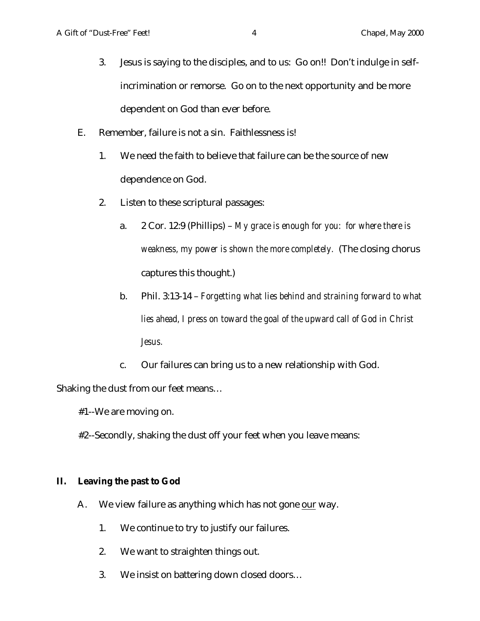- 3. Jesus is saying to the disciples, and to us: Go on!! Don't indulge in selfincrimination or remorse. Go on to the next opportunity and be more dependent on God than ever before.
- E. Remember, failure is not a sin. Faithlessness is!
	- 1. We need the faith to believe that failure can be the source of new dependence on God.
	- 2. Listen to these scriptural passages:
		- a. 2 Cor. 12:9 (Phillips) *My grace is enough for you: for where there is weakness, my power is shown the more completely.* (The closing chorus captures this thought.)
		- b. Phil. 3:13-14 *Forgetting what lies behind and straining forward to what lies ahead, I press on toward the goal of the upward call of God in Christ Jesus.*
		- c. Our failures can bring us to a new relationship with God.

Shaking the dust from our feet means…

- #1--We are moving on.
- #2--Secondly, shaking the dust off your feet when you leave means:

#### **II. Leaving the past to God**

- A. We view failure as anything which has not gone our way.
	- 1. We continue to try to justify our failures.
	- 2. We want to straighten things out.
	- 3. We insist on battering down closed doors…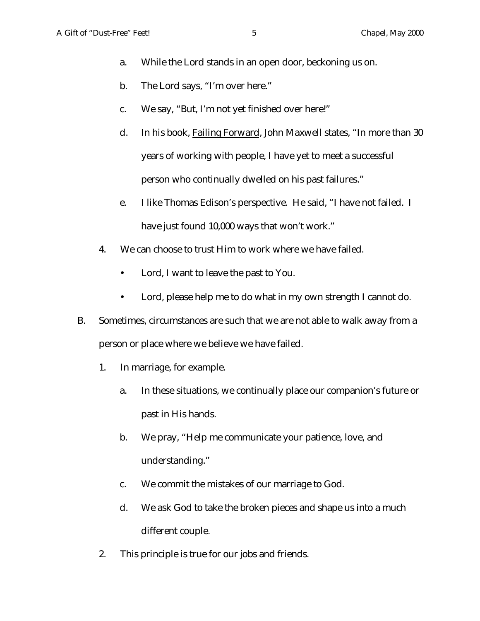- a. While the Lord stands in an open door, beckoning us on.
- b. The Lord says, "I'm over here."
- c. We say, "But, I'm not yet finished over here!"
- d. In his book, Failing Forward, John Maxwell states, "In more than 30 years of working with people, I have yet to meet a successful person who continually dwelled on his past failures."
- e. I like Thomas Edison's perspective. He said, "I have not failed. I have just found 10,000 ways that won't work."
- 4. We can choose to trust Him to work where we have failed.
	- Lord, I want to leave the past to You.
	- Lord, please help me to do what in my own strength I cannot do.
- B. Sometimes, circumstances are such that we are not able to walk away from a person or place where we believe we have failed.
	- 1. In marriage, for example.
		- a. In these situations, we continually place our companion's future or past in His hands.
		- b. We pray, "Help me communicate your patience, love, and understanding."
		- c. We commit the mistakes of our marriage to God.
		- d. We ask God to take the broken pieces and shape us into a much different couple.
	- 2. This principle is true for our jobs and friends.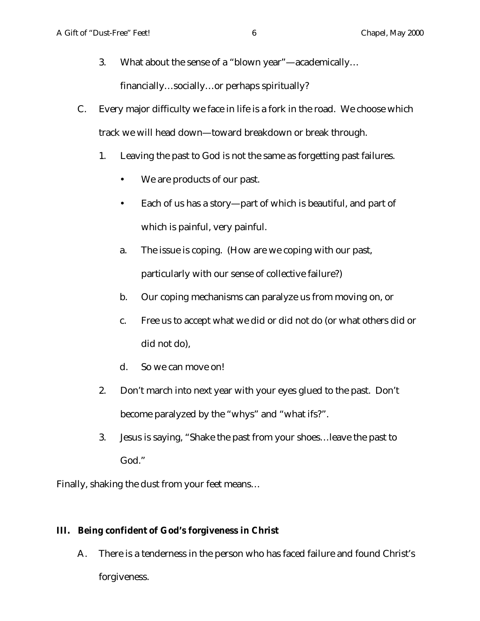- 3. What about the sense of a "blown year"—academically… financially…socially…or perhaps spiritually?
- C. Every major difficulty we face in life is a fork in the road. We choose which track we will head down—toward breakdown or break through.
	- 1. Leaving the past to God is not the same as forgetting past failures.
		- We are products of our past.
		- Each of us has a story—part of which is beautiful, and part of which is painful, very painful.
		- a. The issue is coping. (How are we coping with our past, particularly with our sense of collective failure?)
		- b. Our coping mechanisms can paralyze us from moving on, or
		- c. Free us to accept what we did or did not do (or what others did or did not do),
		- d. So we can move on!
	- 2. Don't march into next year with your eyes glued to the past. Don't become paralyzed by the "whys" and "what ifs?".
	- 3. Jesus is saying, "Shake the past from your shoes…leave the past to God."

Finally, shaking the dust from your feet means…

## **III. Being confident of God's forgiveness in Christ**

A. There is a tenderness in the person who has faced failure and found Christ's forgiveness.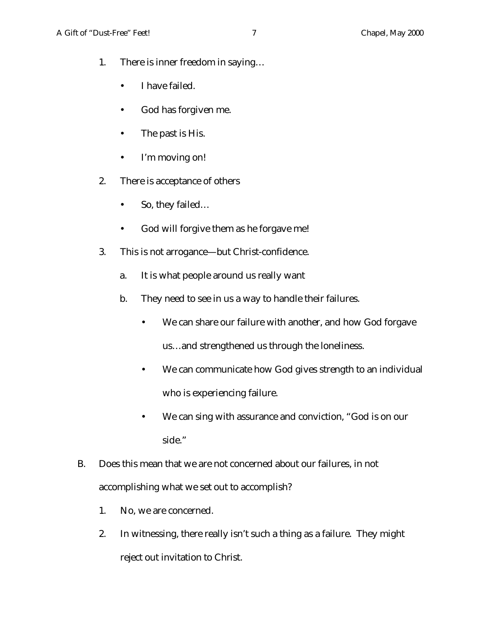- 1. There is inner freedom in saying…
	- I have failed.
	- God has forgiven me.
	- The past is His.
	- I'm moving on!
- 2. There is acceptance of others
	- So, they failed...
	- God will forgive them as he forgave me!
- 3. This is not arrogance—but Christ-confidence.
	- a. It is what people around us really want
	- b. They need to see in us a way to handle their failures.
		- We can share our failure with another, and how God forgave us…and strengthened us through the loneliness.
		- We can communicate how God gives strength to an individual who is experiencing failure.
		- We can sing with assurance and conviction, "God is on our side."
- B. Does this mean that we are not concerned about our failures, in not accomplishing what we set out to accomplish?
	- 1. No, we are concerned.
	- 2. In witnessing, there really isn't such a thing as a failure. They might reject out invitation to Christ.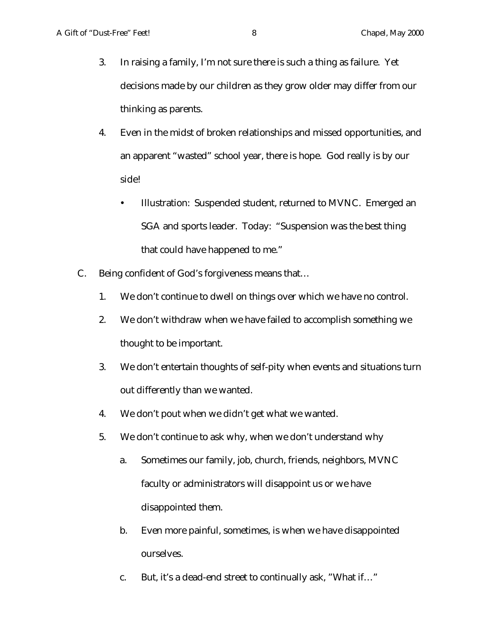- 3. In raising a family, I'm not sure there is such a thing as failure. Yet decisions made by our children as they grow older may differ from our thinking as parents.
- 4. Even in the midst of broken relationships and missed opportunities, and an apparent "wasted" school year, there is hope. God really is by our side!
	- Illustration: Suspended student, returned to MVNC. Emerged an SGA and sports leader. Today: "Suspension was the best thing that could have happened to me."
- C. Being confident of God's forgiveness means that…
	- 1. We don't continue to dwell on things over which we have no control.
	- 2. We don't withdraw when we have failed to accomplish something we thought to be important.
	- 3. We don't entertain thoughts of self-pity when events and situations turn out differently than we wanted.
	- 4. We don't pout when we didn't get what we wanted.
	- 5. We don't continue to ask why, when we don't understand why
		- a. Sometimes our family, job, church, friends, neighbors, MVNC faculty or administrators will disappoint us or we have disappointed them.
		- b. Even more painful, sometimes, is when we have disappointed ourselves.
		- c. But, it's a dead-end street to continually ask, "What if…"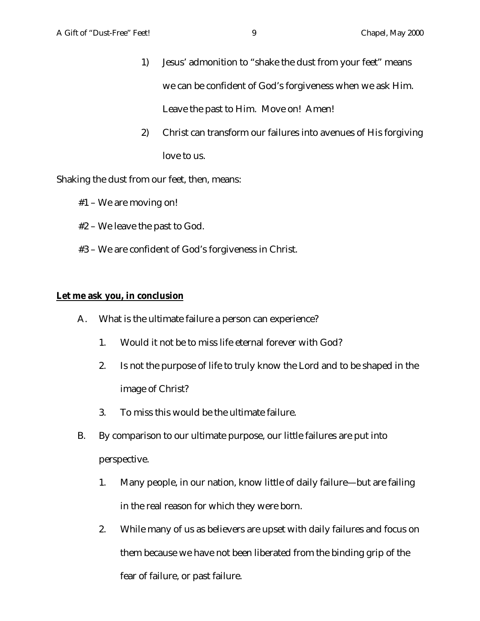- 1) Jesus' admonition to "shake the dust from your feet" means we can be confident of God's forgiveness when we ask Him. Leave the past to Him. Move on! Amen!
- 2) Christ can transform our failures into avenues of His forgiving love to us.

Shaking the dust from our feet, then, means:

- #1 We are moving on!
- #2 We leave the past to God.
- #3 We are confident of God's forgiveness in Christ.

#### **Let me ask you, in conclusion**

- A. What is the ultimate failure a person can experience?
	- 1. Would it not be to miss life eternal forever with God?
	- 2. Is not the purpose of life to truly know the Lord and to be shaped in the image of Christ?
	- 3. To miss this would be the ultimate failure.
- B. By comparison to our ultimate purpose, our little failures are put into perspective.
	- 1. Many people, in our nation, know little of daily failure—but are failing in the real reason for which they were born.
	- 2. While many of us as believers are upset with daily failures and focus on them because we have not been liberated from the binding grip of the fear of failure, or past failure.